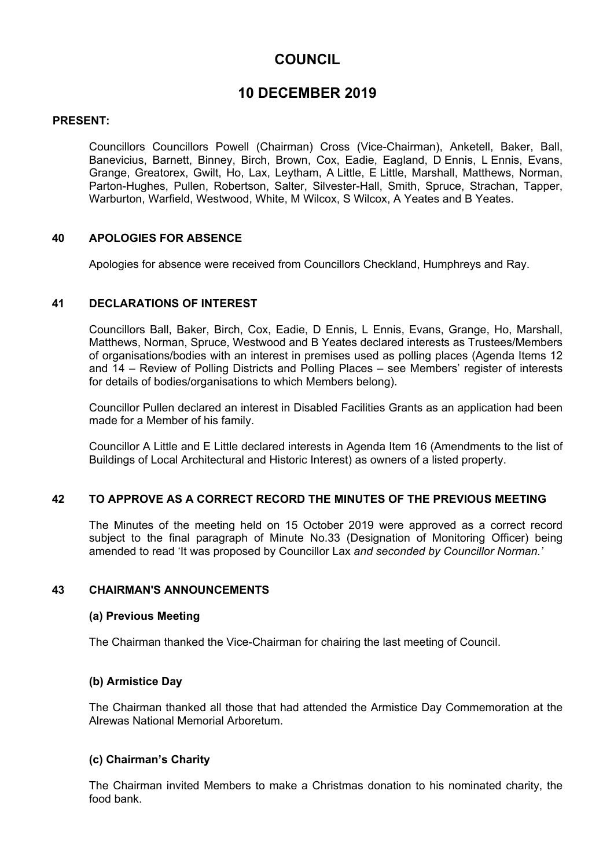# **COUNCIL**

# **10 DECEMBER 2019**

# **PRESENT:**

Councillors Councillors Powell (Chairman) Cross (Vice-Chairman), Anketell, Baker, Ball, Banevicius, Barnett, Binney, Birch, Brown, Cox, Eadie, Eagland, D Ennis, L Ennis, Evans, Grange, Greatorex, Gwilt, Ho, Lax, Leytham, A Little, E Little, Marshall, Matthews, Norman, Parton-Hughes, Pullen, Robertson, Salter, Silvester-Hall, Smith, Spruce, Strachan, Tapper, Warburton, Warfield, Westwood, White, M Wilcox, S Wilcox, A Yeates and B Yeates.

# **40 APOLOGIES FOR ABSENCE**

Apologies for absence were received from Councillors Checkland, Humphreys and Ray.

# **41 DECLARATIONS OF INTEREST**

Councillors Ball, Baker, Birch, Cox, Eadie, D Ennis, L Ennis, Evans, Grange, Ho, Marshall, Matthews, Norman, Spruce, Westwood and B Yeates declared interests as Trustees/Members of organisations/bodies with an interest in premises used as polling places (Agenda Items 12 and 14 – Review of Polling Districts and Polling Places – see Members' register of interests for details of bodies/organisations to which Members belong).

Councillor Pullen declared an interest in Disabled Facilities Grants as an application had been made for a Member of his family.

Councillor A Little and E Little declared interests in Agenda Item 16 (Amendments to the list of Buildings of Local Architectural and Historic Interest) as owners of a listed property.

# **42 TO APPROVE AS A CORRECT RECORD THE MINUTES OF THE PREVIOUS MEETING**

The Minutes of the meeting held on 15 October 2019 were approved as a correct record subject to the final paragraph of Minute No.33 (Designation of Monitoring Officer) being amended to read 'It was proposed by Councillor Lax *and seconded by Councillor Norman.'*

# **43 CHAIRMAN'S ANNOUNCEMENTS**

# **(a) Previous Meeting**

The Chairman thanked the Vice-Chairman for chairing the last meeting of Council.

# **(b) Armistice Day**

The Chairman thanked all those that had attended the Armistice Day Commemoration at the Alrewas National Memorial Arboretum.

# **(c) Chairman's Charity**

The Chairman invited Members to make a Christmas donation to his nominated charity, the food bank.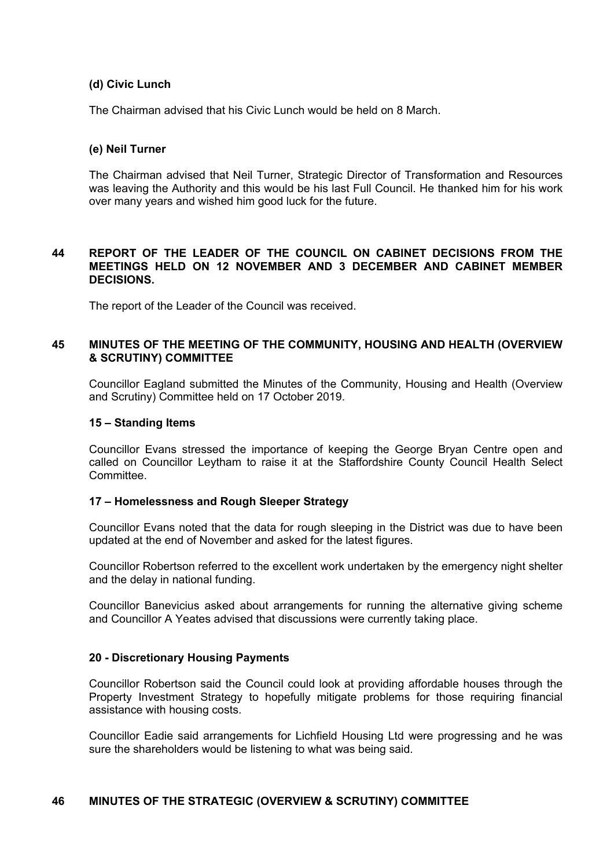## **(d) Civic Lunch**

The Chairman advised that his Civic Lunch would be held on 8 March.

### **(e) Neil Turner**

The Chairman advised that Neil Turner, Strategic Director of Transformation and Resources was leaving the Authority and this would be his last Full Council. He thanked him for his work over many years and wished him good luck for the future.

## **44 REPORT OF THE LEADER OF THE COUNCIL ON CABINET DECISIONS FROM THE MEETINGS HELD ON 12 NOVEMBER AND 3 DECEMBER AND CABINET MEMBER DECISIONS.**

The report of the Leader of the Council was received.

## **45 MINUTES OF THE MEETING OF THE COMMUNITY, HOUSING AND HEALTH (OVERVIEW & SCRUTINY) COMMITTEE**

Councillor Eagland submitted the Minutes of the Community, Housing and Health (Overview and Scrutiny) Committee held on 17 October 2019.

## **15 – Standing Items**

Councillor Evans stressed the importance of keeping the George Bryan Centre open and called on Councillor Leytham to raise it at the Staffordshire County Council Health Select **Committee.** 

# **17 – Homelessness and Rough Sleeper Strategy**

Councillor Evans noted that the data for rough sleeping in the District was due to have been updated at the end of November and asked for the latest figures.

Councillor Robertson referred to the excellent work undertaken by the emergency night shelter and the delay in national funding.

Councillor Banevicius asked about arrangements for running the alternative giving scheme and Councillor A Yeates advised that discussions were currently taking place.

# **20 - Discretionary Housing Payments**

Councillor Robertson said the Council could look at providing affordable houses through the Property Investment Strategy to hopefully mitigate problems for those requiring financial assistance with housing costs.

Councillor Eadie said arrangements for Lichfield Housing Ltd were progressing and he was sure the shareholders would be listening to what was being said.

# **46 MINUTES OF THE STRATEGIC (OVERVIEW & SCRUTINY) COMMITTEE**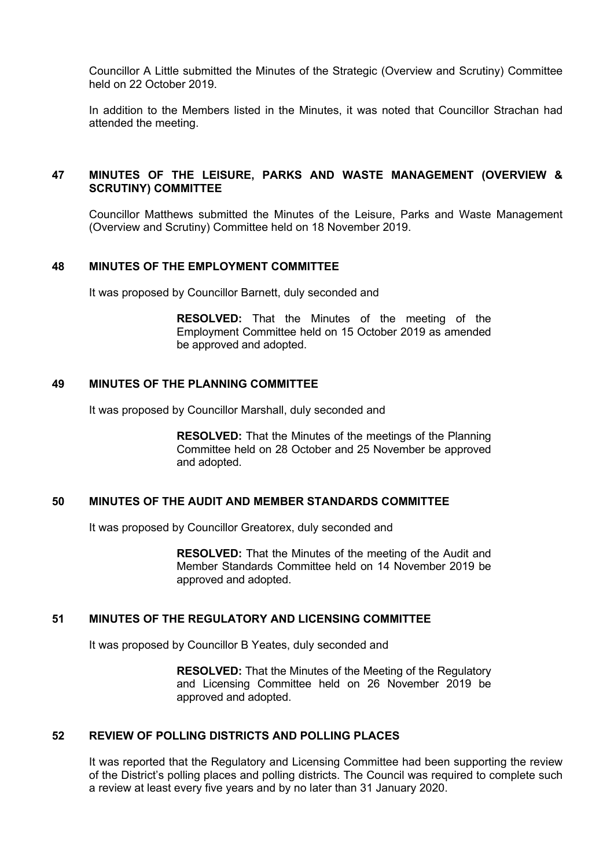Councillor A Little submitted the Minutes of the Strategic (Overview and Scrutiny) Committee held on 22 October 2019.

In addition to the Members listed in the Minutes, it was noted that Councillor Strachan had attended the meeting.

# **47 MINUTES OF THE LEISURE, PARKS AND WASTE MANAGEMENT (OVERVIEW & SCRUTINY) COMMITTEE**

Councillor Matthews submitted the Minutes of the Leisure, Parks and Waste Management (Overview and Scrutiny) Committee held on 18 November 2019.

## **48 MINUTES OF THE EMPLOYMENT COMMITTEE**

It was proposed by Councillor Barnett, duly seconded and

**RESOLVED:** That the Minutes of the meeting of the Employment Committee held on 15 October 2019 as amended be approved and adopted.

## **49 MINUTES OF THE PLANNING COMMITTEE**

It was proposed by Councillor Marshall, duly seconded and

**RESOLVED:** That the Minutes of the meetings of the Planning Committee held on 28 October and 25 November be approved and adopted.

#### **50 MINUTES OF THE AUDIT AND MEMBER STANDARDS COMMITTEE**

It was proposed by Councillor Greatorex, duly seconded and

**RESOLVED:** That the Minutes of the meeting of the Audit and Member Standards Committee held on 14 November 2019 be approved and adopted.

### **51 MINUTES OF THE REGULATORY AND LICENSING COMMITTEE**

It was proposed by Councillor B Yeates, duly seconded and

**RESOLVED:** That the Minutes of the Meeting of the Regulatory and Licensing Committee held on 26 November 2019 be approved and adopted.

#### **52 REVIEW OF POLLING DISTRICTS AND POLLING PLACES**

It was reported that the Regulatory and Licensing Committee had been supporting the review of the District's polling places and polling districts. The Council was required to complete such a review at least every five years and by no later than 31 January 2020.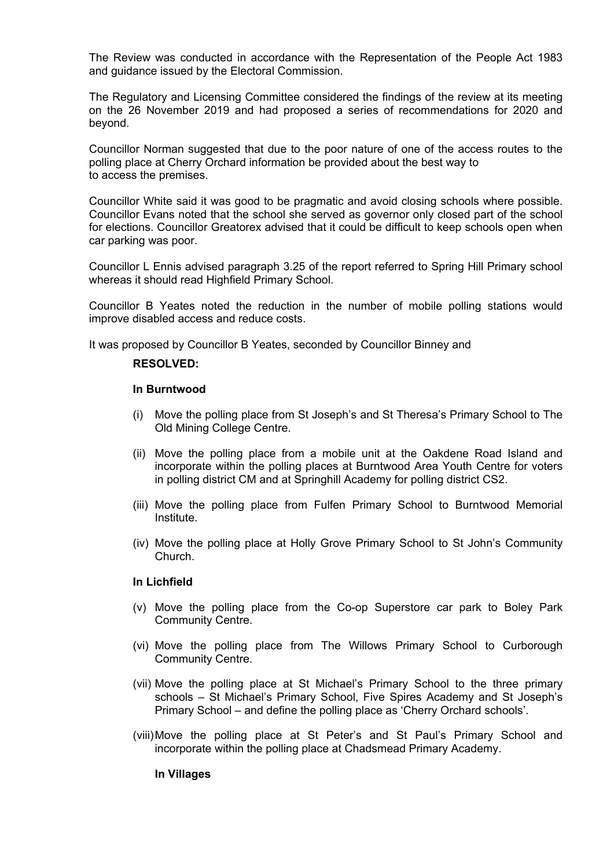The Review was conducted in accordance with the Representation of the People Act 1983 and guidance issued by the Electoral Commission.

The Regulatory and Licensing Committee considered the findings of the review at its meeting on the 26 November 2019 and had proposed a series of recommendations for 2020 and beyond.

Councillor Norman suggested that due to the poor nature of one of the access routes to the polling place at Cherry Orchard information be provided about the best way to to access the premises.

Councillor White said it was good to be pragmatic and avoid closing schools where possible. Councillor Evans noted that the school she served as governor only closed part of the school for elections. Councillor Greatorex advised that it could be difficult to keep schools open when car parking was poor.

Councillor L Ennis advised paragraph 3.25 of the report referred to Spring Hill Primary school whereas it should read Highfield Primary School.

Councillor B Yeates noted the reduction in the number of mobile polling stations would improve disabled access and reduce costs.

It was proposed by Councillor B Yeates, seconded by Councillor Binney and

#### **RESOLVED:**

#### **In Burntwood**

- (i) Move the polling place from St Joseph's and St Theresa's Primary School to The Old Mining College Centre.
- (ii) Move the polling place from a mobile unit at the Oakdene Road Island and incorporate within the polling places at Burntwood Area Youth Centre for voters in polling district CM and at Springhill Academy for polling district CS2.
- (iii) Move the polling place from Fulfen Primary School to Burntwood Memorial Institute.
- (iv) Move the polling place at Holly Grove Primary School to St John's Community Church.

#### **In Lichfield**

- (v) Move the polling place from the Co-op Superstore car park to Boley Park Community Centre.
- (vi) Move the polling place from The Willows Primary School to Curborough Community Centre.
- (vii) Move the polling place at St Michael's Primary School to the three primary schools – St Michael's Primary School, Five Spires Academy and St Joseph's Primary School – and define the polling place as 'Cherry Orchard schools'.
- (viii)Move the polling place at St Peter's and St Paul's Primary School and incorporate within the polling place at Chadsmead Primary Academy.

#### **In Villages**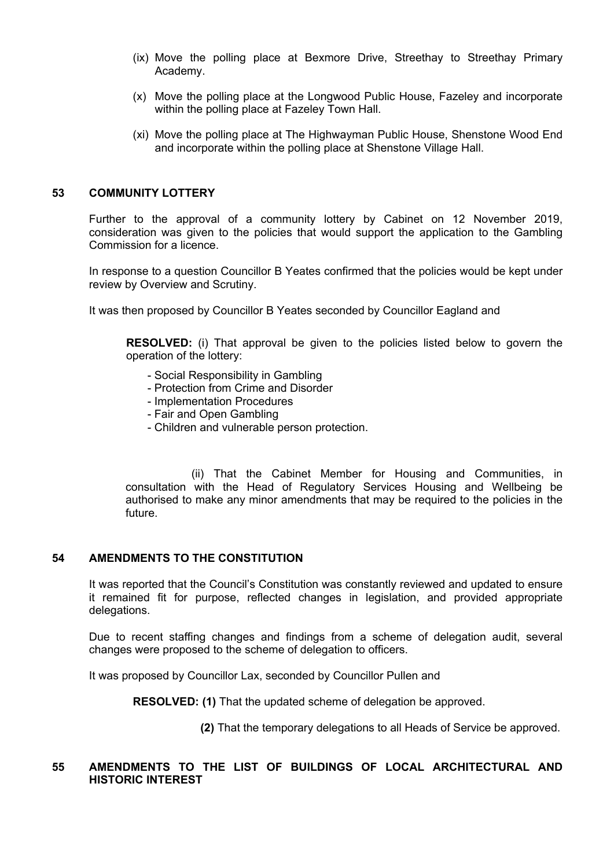- (ix) Move the polling place at Bexmore Drive, Streethay to Streethay Primary Academy.
- (x) Move the polling place at the Longwood Public House, Fazeley and incorporate within the polling place at Fazeley Town Hall.
- (xi) Move the polling place at The Highwayman Public House, Shenstone Wood End and incorporate within the polling place at Shenstone Village Hall.

## **53 COMMUNITY LOTTERY**

Further to the approval of a community lottery by Cabinet on 12 November 2019, consideration was given to the policies that would support the application to the Gambling Commission for a licence.

In response to a question Councillor B Yeates confirmed that the policies would be kept under review by Overview and Scrutiny.

It was then proposed by Councillor B Yeates seconded by Councillor Eagland and

**RESOLVED:** (i) That approval be given to the policies listed below to govern the operation of the lottery:

- Social Responsibility in Gambling
- Protection from Crime and Disorder
- Implementation Procedures
- Fair and Open Gambling
- Children and vulnerable person protection.

(ii) That the Cabinet Member for Housing and Communities, in consultation with the Head of Regulatory Services Housing and Wellbeing be authorised to make any minor amendments that may be required to the policies in the future.

# **54 AMENDMENTS TO THE CONSTITUTION**

It was reported that the Council's Constitution was constantly reviewed and updated to ensure it remained fit for purpose, reflected changes in legislation, and provided appropriate delegations.

Due to recent staffing changes and findings from a scheme of delegation audit, several changes were proposed to the scheme of delegation to officers.

It was proposed by Councillor Lax, seconded by Councillor Pullen and

**RESOLVED: (1)** That the updated scheme of delegation be approved.

**(2)** That the temporary delegations to all Heads of Service be approved.

#### **55 AMENDMENTS TO THE LIST OF BUILDINGS OF LOCAL ARCHITECTURAL AND HISTORIC INTEREST**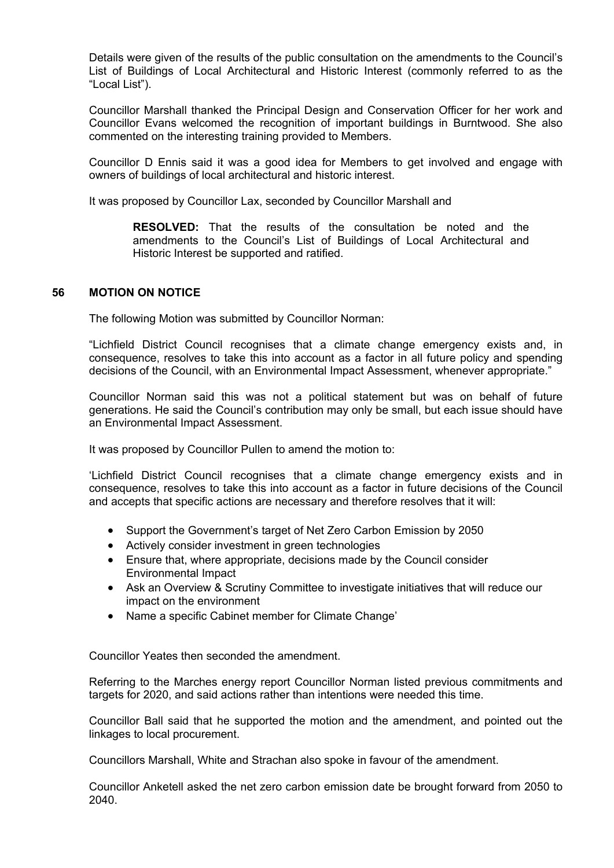Details were given of the results of the public consultation on the amendments to the Council's List of Buildings of Local Architectural and Historic Interest (commonly referred to as the "Local List").

Councillor Marshall thanked the Principal Design and Conservation Officer for her work and Councillor Evans welcomed the recognition of important buildings in Burntwood. She also commented on the interesting training provided to Members.

Councillor D Ennis said it was a good idea for Members to get involved and engage with owners of buildings of local architectural and historic interest.

It was proposed by Councillor Lax, seconded by Councillor Marshall and

**RESOLVED:** That the results of the consultation be noted and the amendments to the Council's List of Buildings of Local Architectural and Historic Interest be supported and ratified.

## **56 MOTION ON NOTICE**

The following Motion was submitted by Councillor Norman:

"Lichfield District Council recognises that a climate change emergency exists and, in consequence, resolves to take this into account as a factor in all future policy and spending decisions of the Council, with an Environmental Impact Assessment, whenever appropriate."

Councillor Norman said this was not a political statement but was on behalf of future generations. He said the Council's contribution may only be small, but each issue should have an Environmental Impact Assessment.

It was proposed by Councillor Pullen to amend the motion to:

'Lichfield District Council recognises that a climate change emergency exists and in consequence, resolves to take this into account as a factor in future decisions of the Council and accepts that specific actions are necessary and therefore resolves that it will:

- Support the Government's target of Net Zero Carbon Emission by 2050
- Actively consider investment in green technologies
- Ensure that, where appropriate, decisions made by the Council consider Environmental Impact
- Ask an Overview & Scrutiny Committee to investigate initiatives that will reduce our impact on the environment
- Name a specific Cabinet member for Climate Change'

Councillor Yeates then seconded the amendment.

Referring to the Marches energy report Councillor Norman listed previous commitments and targets for 2020, and said actions rather than intentions were needed this time.

Councillor Ball said that he supported the motion and the amendment, and pointed out the linkages to local procurement.

Councillors Marshall, White and Strachan also spoke in favour of the amendment.

Councillor Anketell asked the net zero carbon emission date be brought forward from 2050 to 2040.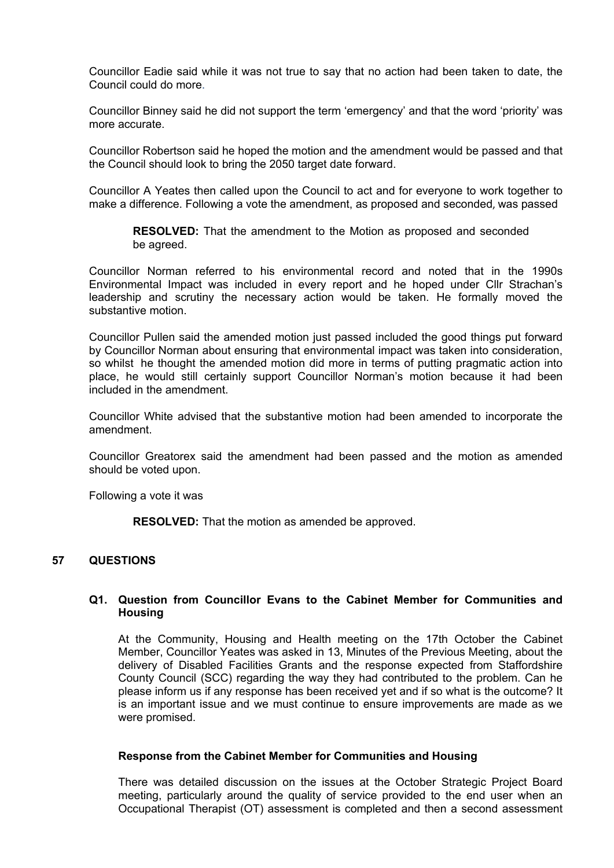Councillor Eadie said while it was not true to say that no action had been taken to date, the Council could do more.

Councillor Binney said he did not support the term 'emergency' and that the word 'priority' was more accurate.

Councillor Robertson said he hoped the motion and the amendment would be passed and that the Council should look to bring the 2050 target date forward.

Councillor A Yeates then called upon the Council to act and for everyone to work together to make a difference. Following a vote the amendment, as proposed and seconded, was passed

**RESOLVED:** That the amendment to the Motion as proposed and seconded be agreed.

Councillor Norman referred to his environmental record and noted that in the 1990s Environmental Impact was included in every report and he hoped under Cllr Strachan's leadership and scrutiny the necessary action would be taken. He formally moved the substantive motion.

Councillor Pullen said the amended motion just passed included the good things put forward by Councillor Norman about ensuring that environmental impact was taken into consideration, so whilst he thought the amended motion did more in terms of putting pragmatic action into place, he would still certainly support Councillor Norman's motion because it had been included in the amendment.

Councillor White advised that the substantive motion had been amended to incorporate the amendment.

Councillor Greatorex said the amendment had been passed and the motion as amended should be voted upon.

Following a vote it was

**RESOLVED:** That the motion as amended be approved.

# **57 QUESTIONS**

## **Q1. Question from Councillor Evans to the Cabinet Member for Communities and Housing**

At the Community, Housing and Health meeting on the 17th October the Cabinet Member, Councillor Yeates was asked in 13, Minutes of the Previous Meeting, about the delivery of Disabled Facilities Grants and the response expected from Staffordshire County Council (SCC) regarding the way they had contributed to the problem. Can he please inform us if any response has been received yet and if so what is the outcome? It is an important issue and we must continue to ensure improvements are made as we were promised.

#### **Response from the Cabinet Member for Communities and Housing**

There was detailed discussion on the issues at the October Strategic Project Board meeting, particularly around the quality of service provided to the end user when an Occupational Therapist (OT) assessment is completed and then a second assessment